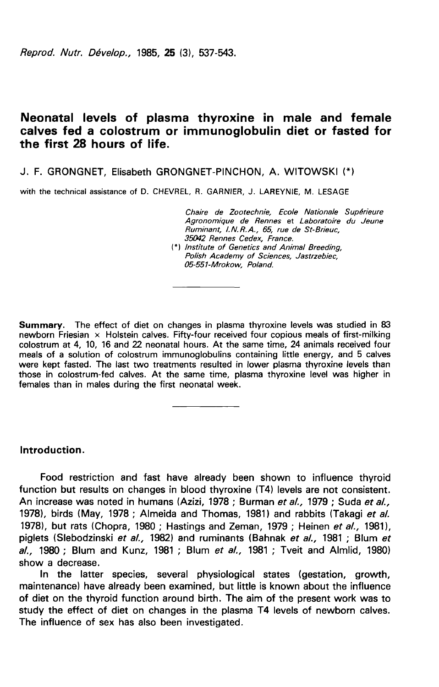Reprod. Nutr. Dévelop., 1985, 25 (3), 537-543.

# Neonatal levels of plasma thyroxine in male and female calves fed a colostrum or immunoglobulin diet or fasted for the first 28 hours of life.

J. F. GRONGNET, Elisabeth GRONGNET-PINCHON, A. WITOWSKI

with the technical assistance of D. CHEVREL, R. GARNIER, J. LAREYNIE, M. LESAGE

Chaire de Zootechnie, Ecole Nationale Supérieure Agronomique de Rennes et Laboratoire du Jeune Ruminant, I.N.R.A., 65, rue de St-Brieuc, 35042 Rennes Cedex, France.

(\*) Institute of Genetics and Animal Breeding, Polish Academy of Sciences, Jastrzebiec, 05-551-Mrokow, Poland.

Summary. The effect of diet on changes in plasma thyroxine levels was studied in 83 newborn Friesian x Holstein calves. Fifty-four received four copious meals of first-milking colostrum at 4, 10, 16 and 22 neonatal hours. At the same time, 24 animals received four meals of a solution of colostrum immunoglobulins containing little energy, and 5 calves were kept fasted. The last two treatments resulted in lower plasma thyroxine levels than those in colostrum-fed calves. At the same time, plasma thyroxine level was higher in females than in males during the first neonatal week.

Introduction.

Food restriction and fast have already been shown to influence thyroid function but results on changes in blood thyroxine (T4) levels are not consistent. An increase was noted in humans (Azizi, 1978 ; Burman et al., 1979 ; Suda et al., 1978), birds (May, 1978; Almeida and Thomas, 1981) and rabbits (Takagi et al. 1978), but rats (Chopra, 1980 ; Hastings and Zeman, 1979 ; Heinen et al., 1981), piglets (Slebodzinski et al., 1982) and ruminants (Bahnak et al., 1981; Blum et al., 1980 ; Blum and Kunz, 1981 ; Blum et al., 1981 ; Tveit and Almlid, 1980) show a decrease.

In the latter species, several physiological states (gestation, growth, maintenance) have already been examined, but little is known about the influence of diet on the thyroid function around birth. The aim of the present work was to study the effect of diet on changes in the plasma T4 levels of newborn calves. The influence of sex has also been investigated.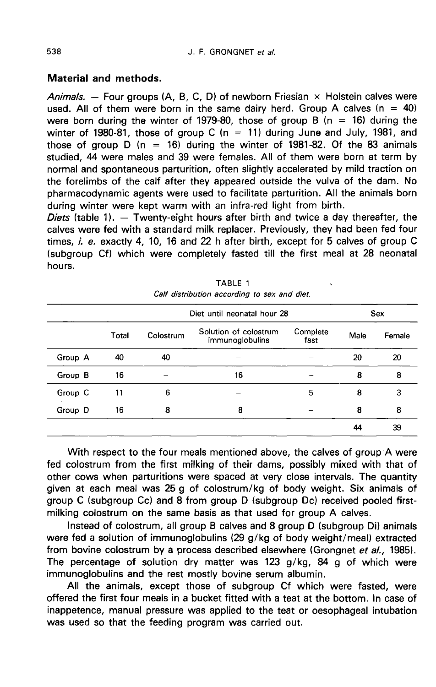## Material and methods.

Animals. — Four groups (A, B, C, D) of newborn Friesian  $\times$  Holstein calves were used. All of them were born in the same dairy herd. Group A calves ( $n = 40$ ) were born during the winter of 1979-80, those of group B (n = 16) during the winter of 1980-81, those of group C (n = 11) during June and July, 1981, and those of group D ( $n = 16$ ) during the winter of 1981-82. Of the 83 animals studied, 44 were males and 39 were females. All of them were born at term by normal and spontaneous parturition, often slightly accelerated by mild traction on the forelimbs of the calf after they appeared outside the vulva of the dam. No pharmacodynamic agents were used to facilitate parturition. All the animals born during winter were kept warm with an infra-red light from birth.

Diets (table 1).  $-$  Twenty-eight hours after birth and twice a day thereafter, the calves were fed with a standard milk replacer. Previously, they had been fed four times,  $i$ ,  $e$ , exactly 4, 10, 16 and 22 h after birth, except for 5 calves of group C (subgroup Cf) which were completely fasted till the first meal at 28 neonatal hours.

|         |       | Diet until neonatal hour 28 |                                          |                  | Sex  |        |
|---------|-------|-----------------------------|------------------------------------------|------------------|------|--------|
|         | Total | Colostrum                   | Solution of colostrum<br>immunoglobulins | Complete<br>fast | Male | Female |
| Group A | 40    | 40                          |                                          |                  | 20   | 20     |
| Group B | 16    |                             | 16                                       |                  | 8    | 8      |
| Group C | 11    | 6                           |                                          | 5                | 8    | 3      |
| Group D | 16    | 8                           | 8                                        |                  | 8    | 8      |
|         |       |                             |                                          |                  | 44   | 39     |

|                                              | TABLE 1 |  |  |  |
|----------------------------------------------|---------|--|--|--|
| Calf distribution according to sex and diet. |         |  |  |  |

With respect to the four meals mentioned above, the calves of group A were fed colostrum from the first milking of their dams, possibly mixed with that of other cows when parturitions were spaced at very close intervals. The quantity given at each meal was 25 g of colostrum/kg of body weight. Six animals of group C (subgroup Cc) and 8 from group D (subgroup Dc) received pooled firstmilking colostrum on the same basis as that used for group A calves.

Instead of colostrum, all group B calves and 8 group D (subgroup Di) animals were fed a solution of immunoglobulins (29 g/kg of body weight/meal) extracted from bovine colostrum by a process described elsewhere (Grongnet et al., 1985). The percentage of solution dry matter was 123 g/kg, 84 g of which were immunoglobulins and the rest mostly bovine serum albumin.

All the animals, except those of subgroup Cf which were fasted, were offered the first four meals in a bucket fitted with a teat at the bottom. In case of inappetence, manual pressure was applied to the teat or oesophageal intubation was used so that the feeding program was carried out.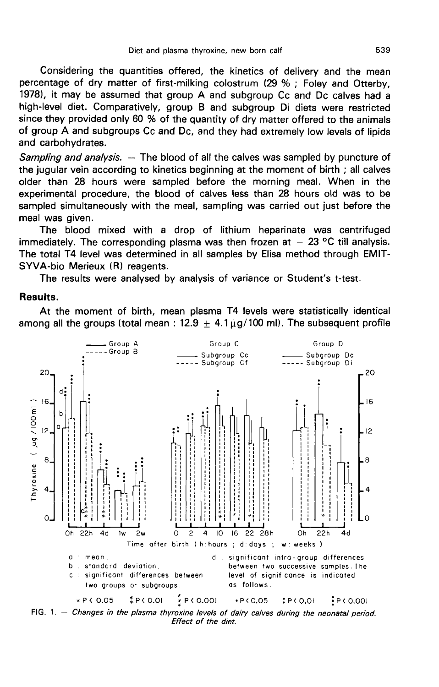Considering the quantities offered, the kinetics of delivery and the mean percentage of dry matter of first-milking colostrum (29 % ; Foley and Otterby, 1978), it may be assumed that group A and subgroup Cc and Dc calves had a high-level diet. Comparatively, group B and subgroup Di diets were restricted since they provided only 60 % of the quantity of dry matter offered to the animals of group A and subgroups Cc and Dc, and they had extremely low levels of lipids and carbohydrates.

Sampling and analysis. - The blood of all the calves was sampled by puncture of the jugular vein according to kinetics beginning at the moment of birth ; all calves older than 28 hours were sampled before the morning meal. When in the experimental procedure, the blood of calves less than 28 hours old was to be sampled simultaneously with the meal, sampling was carried out just before the meal was given.

The blood mixed with a drop of lithium heparinate was centrifuged immediately. The corresponding plasma was then frozen at  $-23$  °C till analysis. The total T4 level was determined in all samples by Elisa method through EMIT-SYVA-bio Merieux (R) reagents.

The results were analysed by analysis of variance or Student's t-test.

### Results.

At the moment of birth, mean plasma T4 levels were statistically identical among all the groups (total mean :  $12.9 \pm 4.1 \mu g/100$  ml). The subsequent profile



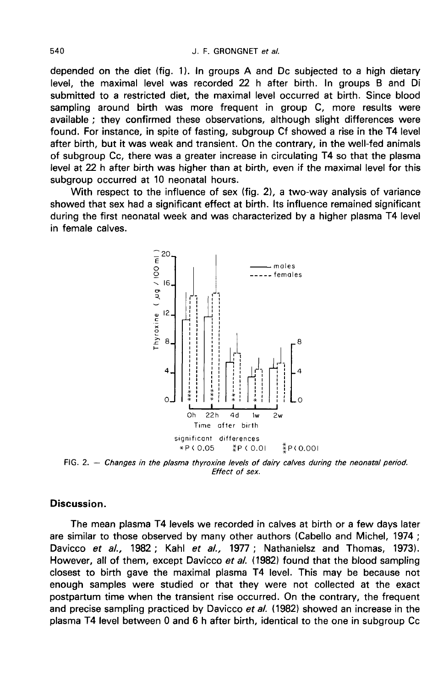depended on the diet (fig. 1). In groups A and Dc subjected to a high dietary level, the maximal level was recorded 22 h after birth. In groups B and Di submitted to a restricted diet, the maximal level occurred at birth. Since blood sampling around birth was more frequent in group C, more results were available ; they confirmed these observations, although slight differences were found. For instance, in spite of fasting, subgroup Cf showed a rise in the T4 level after birth, but it was weak and transient. On the contrary, in the well-fed animals of subgroup Cc, there was a greater increase in circulating T4 so that the plasma level at 22 h after birth was higher than at birth, even if the maximal level for this subgroup occurred at 10 neonatal hours.

With respect to the influence of sex (fig. 2), a two-way analysis of variance showed that sex had a significant effect at birth. Its influence remained significant during the first neonatal week and was characterized by a higher plasma T4 level in female calves.



FIG. 2. - Changes in the plasma thyroxine levels of dairy calves during the neonatal period. Effect of sex.

## Discussion.

The mean plasma T4 levels we recorded in calves at birth or a few days later are similar to those observed by many other authors (Cabello and Michel, 1974 ; Davicco et al., 1982; Kahl et al., 1977; Nathanielsz and Thomas, 1973). However, all of them, except Davicco et al. (1982) found that the blood sampling closest to birth gave the maximal plasma T4 level. This may be because not enough samples were studied or that they were not collected at the exact postpartum time when the transient rise occurred. On the contrary, the frequent and precise sampling practiced by Davicco et al. (1982) showed an increase in the plasma T4 level between 0 and 6 h after birth, identical to the one in subgroup Cc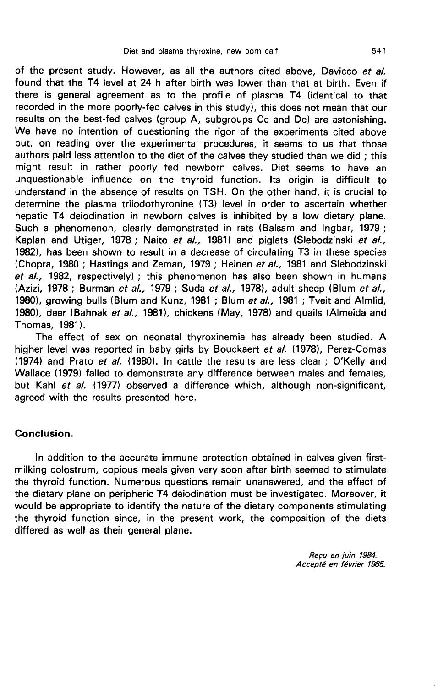of the present study. However, as all the authors cited above, Davicco et al. found that the T4 level at 24 h after birth was lower than that at birth. Even if there is general agreement as to the profile of plasma T4 (identical to that recorded in the more poorly-fed calves in this study), this does not mean that our results on the best-fed calves (group A, subgroups Cc and Dc) are astonishing. We have no intention of questioning the rigor of the experiments cited above but, on reading over the experimental procedures, it seems to us that those authors paid less attention to the diet of the calves they studied than we did ; this might result in rather poorly fed newborn calves. Diet seems to have an unquestionable influence on the thyroid function. Its origin is difficult to understand in the absence of results on TSH. On the other hand, it is crucial to determine the plasma triiodothyronine (T3) level in order to ascertain whether hepatic T4 deiodination in newborn calves is inhibited by a low dietary plane. Such a phenomenon, clearly demonstrated in rats (Balsam and Ingbar, 1979 ; Kaplan and Utiger, 1978; Naito et al., 1981) and piglets (Slebodzinski et al., 1982), has been shown to result in a decrease of circulating T3 in these species (Chopra, 1980; Hastings and Zeman, 1979; Heinen et al., 1981 and Slebodzinski et  $al.$ , 1982, respectively) ; this phenomenon has also been shown in humans (Azizi, 1978 ; Burman et al., 1979 ; Suda et al., 1978), adult sheep (Blum et al., 1980), growing bulls (Blum and Kunz, 1981 ; Blum et al., 1981 ; Tveit and Almlid, 1980), deer (Bahnak et al., 1981), chickens (May, 1978) and quails (Almeida and Thomas, 1981).

The effect of sex on neonatal thyroxinemia has already been studied. A higher level was reported in baby girls by Bouckaert et al. (1978), Perez-Comas (1974) and Prato et  $al.$  (1980). In cattle the results are less clear; O'Kelly and Wallace (1979) failed to demonstrate any difference between males and females, but Kahl et al. (1977) observed a difference which, although non-significant, agreed with the results presented here.

## Conclusion.

In addition to the accurate immune protection obtained in calves given firstmilking colostrum, copious meals given very soon after birth seemed to stimulate the thyroid function. Numerous questions remain unanswered, and the effect of the dietary plane on peripheric T4 deiodination must be investigated. Moreover, it would be appropriate to identify the nature of the dietary components stimulating the thyroid function since, in the present work, the composition of the diets differed as well as their general plane.

> Recu en juin 1984. Accept6 en février 1985.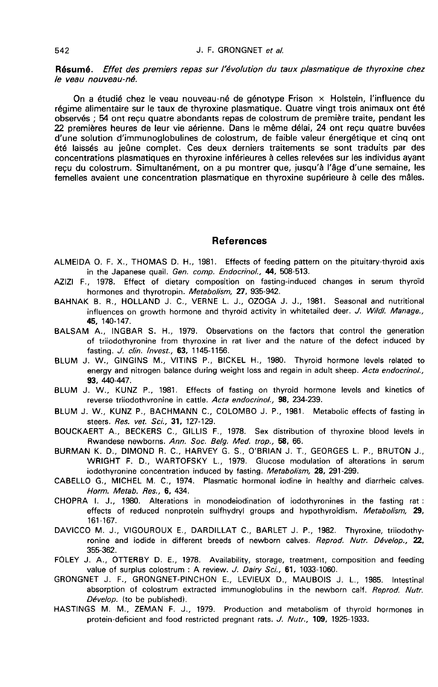Résumé. Effet des premiers repas sur l'évolution du taux plasmatique de thyroxine chez le veau nouveau-né.

On a étudié chez le veau nouveau-né de génotype Frison x Holstein, l'influence du régime alimentaire sur le taux de thyroxine plasmatique. Quatre vingt trois animaux ont été observés ; 54 ont reçu quatre abondants repas de colostrum de première traite, pendant les 22 premières heures de leur vie aérienne. Dans le même délai, 24 ont reçu quatre buvées d'une solution d'immunoglobulines de colostrum, de faible valeur énergétique et cinq ont été laissés au jeûne complet. Ces deux derniers traitements se sont traduits par des concentrations plasmatiques en thyroxine inférieures à celles relevées sur les individus ayant reçu du colostrum. Simultanément, on a pu montrer que, jusqu'à l'âge d'une semaine, les femelles avaient une concentration plasmatique en thyroxine supérieure à celle des mâles.

### References

- ALMEIDA O. F. X., THOMAS D. H., 1981. Effects of feeding pattern on the pituitary-thyroid axis in the Japanese quail. Gen. comp. Endocrinol., 44, 508-513.
- AZIZI F., 1978. Effect of dietary composition on fasting-induced changes in serum thyroïd hormones and thyrotropin. Metabolism, 27, 935-942.
- BAHNAK B. R., HOLLAND J. C., VERNE L. J., OZOGA J. J., 1981. Seasonal and nutritional influences on growth hormone and thyroid activity in whitetailed deer. J. Wildl. Manage., 45, 140-147.
- BALSAM A., INGBAR S. H., 1979. Observations on the factors that control the generation of triiodothyronine from thyroxine in rat liver and the nature of the defect induced by fasting. J. clin. Invest., 63, 1145-1156.
- BLUM J. W., GINGINS M., VITINS P., BICKEL H., 1980. Thyroid hormone levels related to energy and nitrogen balance during weight loss and regain in adult sheep. Acta endocrinol., 93, 440-447.
- BLUM J. W., KUNZ P., 1981. Effects of fasting on thyroid hormone levels and kinetics of reverse triiodothyronine in cattle. Acta endocrinol., 98, 234-239.
- BLUM J. W., KUNZ P., BACHMANN C., COLOMBO J. P., 1981. Metabolic effects of fasting in steers. Res. vet. Sci., 31, 127-129.
- BOUCKAERT A., BECKERS C., GILLIS F., 1978. Sex distribution of thyroxine blood levels in Rwandese newborns. Ann. Soc. Belg. Med. trop., 58, 66.
- BURMAN K. D., DIMOND R. C., HARVEY G. S., O'BRIAN J. T., GEORGES L. P., BRUTON J., WRIGHT F. D., WARTOFSKY L., 1979. Glucose modulation of alterations in serum iodothyronine concentration induced by fasting. Metabolism, 28, 291-299.
- CABELLO G., MICHEL M. C., 1974. Plasmatic hormonal iodine in healthy and diarrheic calves. Horm. Metab. Res., 6, 434.
- CHOPRA I. J., 1980. Alterations in monodeiodination of iodothyronines in the fasting rat : effects of reduced nonprotein sulfhydryl groups and hypothyroidism. Metabolism, 29, 161-167.
- DAVICCO M. J., VIGOUROUX E., DARDILLAT C., BARLET J. P., 1982. Thyroxine, triiodothyronine and iodide in different breeds of newborn calves. Reprod. Nutr. Dévelop., 22, 355-362.
- FOLEY J. A., OTTERBY D. E., 1978. Availability, storage, treatment, composition and feeding value of surplus colostrum : A review. J. Dairy Sci., 61, 1033-1060.
- GRONGNET J. F., GRONGNET-PINCHON E., LEVIEUX D., MAUBOIS J. L., 1985. Intestinal absorption of colostrum extracted immunoglobulins in the newborn calf. Reprod. Nutr. Dévelop. (to be published).
- HASTINGS M. M., ZEMAN F. J., 1979. Production and metabolism of thyroid hormones in protein-deficient and food restricted pregnant rats. J. Nutr., 109, 1925-1933.